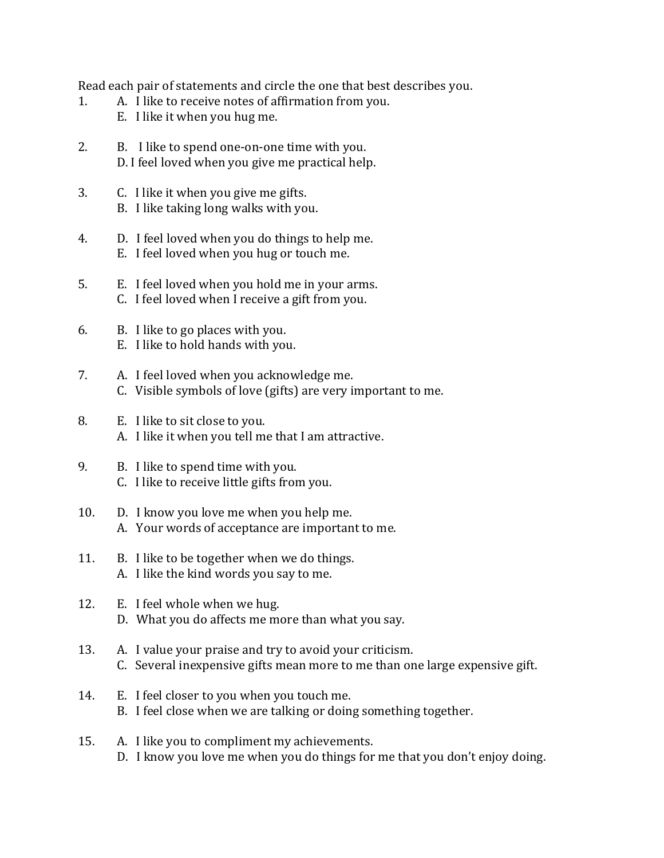Read each pair of statements and circle the one that best describes you.

- 1. A. I like to receive notes of affirmation from you.
	- E. I like it when you hug me.
- 2. B. I like to spend one-on-one time with you. D. I feel loved when you give me practical help.
- 3. C. I like it when you give me gifts. B. I like taking long walks with you.
- 4. D. I feel loved when you do things to help me. E. I feel loved when you hug or touch me.
- 5. E. I feel loved when you hold me in your arms. C. I feel loved when I receive a gift from you.
- 6. B. I like to go places with you. E. I like to hold hands with you.
- 7. A. I feel loved when you acknowledge me. C. Visible symbols of love (gifts) are very important to me.
- 8. E. I like to sit close to you. A. I like it when you tell me that I am attractive.
- 9. B. I like to spend time with you. C. I like to receive little gifts from you.
- 10. D. I know you love me when you help me. A. Your words of acceptance are important to me.
- 11. B. I like to be together when we do things. A. I like the kind words you say to me.
- 12. E. I feel whole when we hug. D. What you do affects me more than what you say.
- 13. A. I value your praise and try to avoid your criticism. C. Several inexpensive gifts mean more to me than one large expensive gift.
- 14. E. I feel closer to you when you touch me. B. I feel close when we are talking or doing something together.
- 15. A. I like you to compliment my achievements. D. I know you love me when you do things for me that you don't enjoy doing.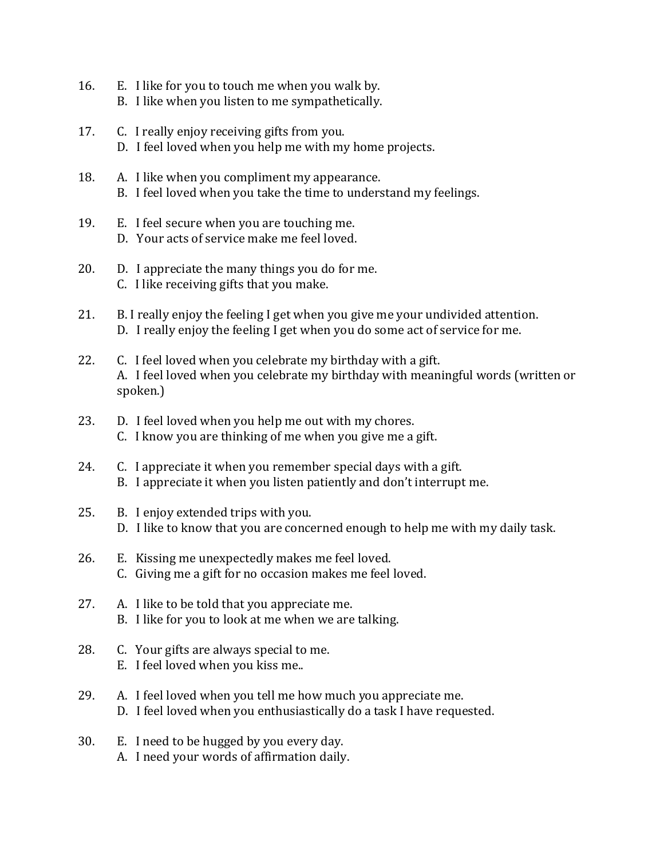- 16. E. I like for you to touch me when you walk by. B. I like when you listen to me sympathetically.
- 17. C. I really enjoy receiving gifts from you. D. I feel loved when you help me with my home projects.
- 18. A. I like when you compliment my appearance. B. I feel loved when you take the time to understand my feelings.
- 19. E. I feel secure when you are touching me. D. Your acts of service make me feel loved.
- 20.  $\Box$  D. I appreciate the many things you do for me. C. I like receiving gifts that you make.
- 21. B. I really enjoy the feeling I get when you give me your undivided attention. D. I really enjoy the feeling I get when you do some act of service for me.
- 22. C. I feel loved when you celebrate my birthday with a gift. A. I feel loved when you celebrate my birthday with meaningful words (written or spoken.)
- 23. D. I feel loved when you help me out with my chores. C. I know you are thinking of me when you give me a gift.
- 24. C. I appreciate it when you remember special days with a gift. B. I appreciate it when you listen patiently and don't interrupt me.
- 25. B. I enjoy extended trips with you. D. I like to know that you are concerned enough to help me with my daily task.
- 26. E. Kissing me unexpectedly makes me feel loved. C. Giving me a gift for no occasion makes me feel loved.
- 27. A. I like to be told that you appreciate me. B. I like for you to look at me when we are talking.
- 28. C. Your gifts are always special to me. E. I feel loved when you kiss me..
- 29. A. I feel loved when you tell me how much you appreciate me. D. I feel loved when you enthusiastically do a task I have requested.
- 30. E. I need to be hugged by you every day. A. I need your words of affirmation daily.